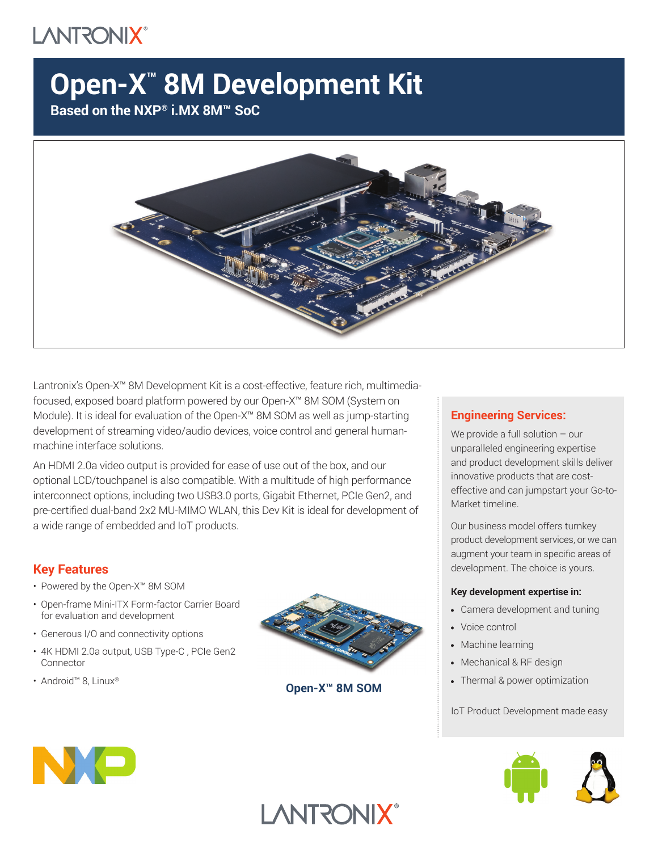# **LANTRONIX®**

# **Open-X™ 8M Development Kit**

**Based on the NXP® i.MX 8M™ SoC**



Lantronix's Open-X™ 8M Development Kit is a cost-effective, feature rich, multimediafocused, exposed board platform powered by our Open-X™ 8M SOM (System on Module). It is ideal for evaluation of the Open-X™ 8M SOM as well as jump-starting development of streaming video/audio devices, voice control and general humanmachine interface solutions.

An HDMI 2.0a video output is provided for ease of use out of the box, and our optional LCD/touchpanel is also compatible. With a multitude of high performance interconnect options, including two USB3.0 ports, Gigabit Ethernet, PCIe Gen2, and pre-certified dual-band 2x2 MU-MIMO WLAN, this Dev Kit is ideal for development of a wide range of embedded and IoT products.

## **Key Features**

- Powered by the Open-X™ 8M SOM
- Open-frame Mini-ITX Form-factor Carrier Board for evaluation and development
- Generous I/O and connectivity options
- 4K HDMI 2.0a output, USB Type-C , PCIe Gen2 Connector
- Android™ 8, Linux®



**Open-X™ 8M SOM**

**LANTRONIX®** 

### **Engineering Services:**

We provide a full solution – our unparalleled engineering expertise and product development skills deliver innovative products that are costeffective and can jumpstart your Go-to-Market timeline.

Our business model offers turnkey product development services, or we can augment your team in specific areas of development. The choice is yours.

#### **Key development expertise in:**

- Camera development and tuning
- Voice control
- Machine learning
- Mechanical & RF design
- Thermal & power optimization

IoT Product Development made easy